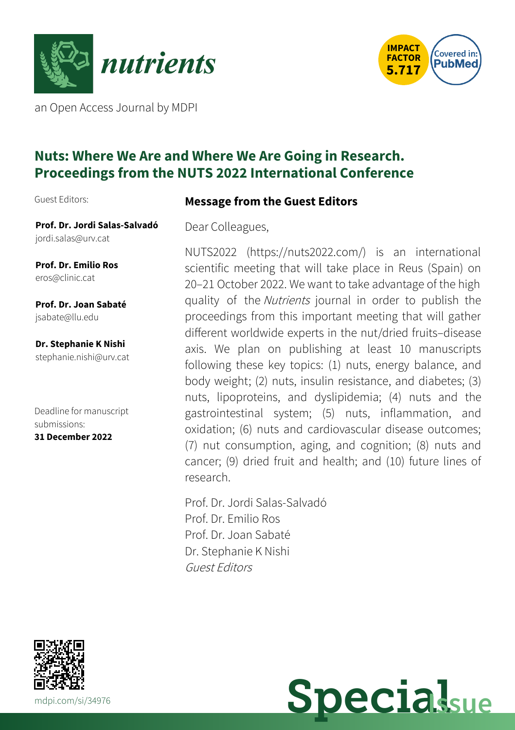



an Open Access Journal by MDPI

# **Nuts: Where We Are and Where We Are Going in Research. Proceedings from the NUTS 2022 International Conference**

Guest Editors:

## **Message from the Guest Editors**

**Prof. Dr. Jordi Salas-Salvadó** [jordi.salas@urv.cat](mailto:jordi.salas@urv.cat)

**Prof. Dr. Emilio Ros** [eros@clinic.cat](mailto:eros@clinic.cat)

**Prof. Dr. Joan Sabaté** [jsabate@llu.edu](mailto:jsabate@llu.edu)

**Dr. Stephanie K Nishi** [stephanie.nishi@urv.cat](mailto:stephanie.nishi@urv.cat)

Deadline for manuscript submissions: **31 December 2022**

Dear Colleagues,

NUTS2022 (https://nuts2022.com/) is an international scientific meeting that will take place in Reus (Spain) on 20–21 October 2022. We want to take advantage of the high quality of the Nutrients journal in order to publish the proceedings from this important meeting that will gather different worldwide experts in the nut/dried fruits–disease axis. We plan on publishing at least 10 manuscripts following these key topics: (1) nuts, energy balance, and body weight; (2) nuts, insulin resistance, and diabetes; (3) nuts, lipoproteins, and dyslipidemia; (4) nuts and the gastrointestinal system; (5) nuts, inflammation, and oxidation; (6) nuts and cardiovascular disease outcomes; (7) nut consumption, aging, and cognition; (8) nuts and cancer; (9) dried fruit and health; and (10) future lines of research.

Prof. Dr. Jordi Salas-Salvadó Prof. Dr. Emilio Ros Prof. Dr. Joan Sabaté Dr. Stephanie K Nishi Guest Editors